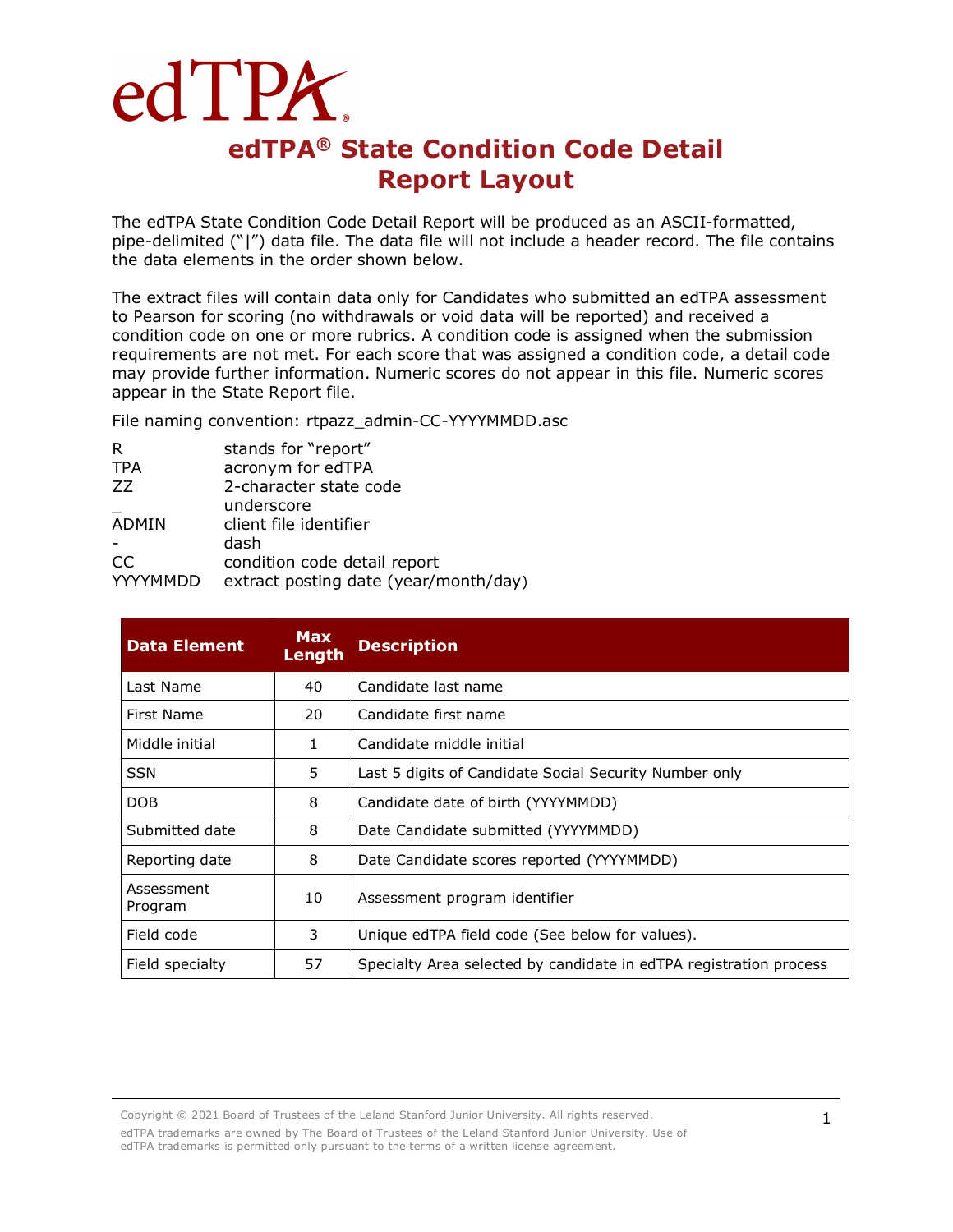## edTPA. **edTPA® State Condition Code Detail Report Layout**

The edTPA State Condition Code Detail Report will be produced as an ASCII-formatted, pipe-delimited ("|") data file. The data file will not include a header record. The file contains the data elements in the order shown below.

The extract files will contain data only for Candidates who submitted an edTPA assessment to Pearson for scoring (no withdrawals or void data will be reported) and received a condition code on one or more rubrics. A condition code is assigned when the submission requirements are not met. For each score that was assigned a condition code, a detail code may provide further information. Numeric scores do not appear in this file. Numeric scores appear in the State Report file.

File naming convention: rtpazz\_admin-CC-YYYYMMDD.asc

| R               | stands for "report"                   |
|-----------------|---------------------------------------|
|                 |                                       |
| <b>TPA</b>      | acronym for edTPA                     |
| 77              | 2-character state code                |
|                 | underscore                            |
| ADMIN           | client file identifier                |
|                 | dash                                  |
| CC              | condition code detail report          |
| <b>YYYYMMDD</b> | extract posting date (year/month/day) |
|                 |                                       |

| <b>Data Element</b>   | <b>Max</b><br>Length | <b>Description</b>                                                 |
|-----------------------|----------------------|--------------------------------------------------------------------|
| Last Name             | 40                   | Candidate last name                                                |
| First Name            | 20                   | Candidate first name                                               |
| Middle initial        | 1.                   | Candidate middle initial                                           |
| <b>SSN</b>            | 5.                   | Last 5 digits of Candidate Social Security Number only             |
| DOB                   | 8                    | Candidate date of birth (YYYYMMDD)                                 |
| Submitted date        | 8                    | Date Candidate submitted (YYYYMMDD)                                |
| Reporting date        | 8                    | Date Candidate scores reported (YYYYMMDD)                          |
| Assessment<br>Program | 10                   | Assessment program identifier                                      |
| Field code            | 3                    | Unique edTPA field code (See below for values).                    |
| Field specialty       | 57                   | Specialty Area selected by candidate in edTPA registration process |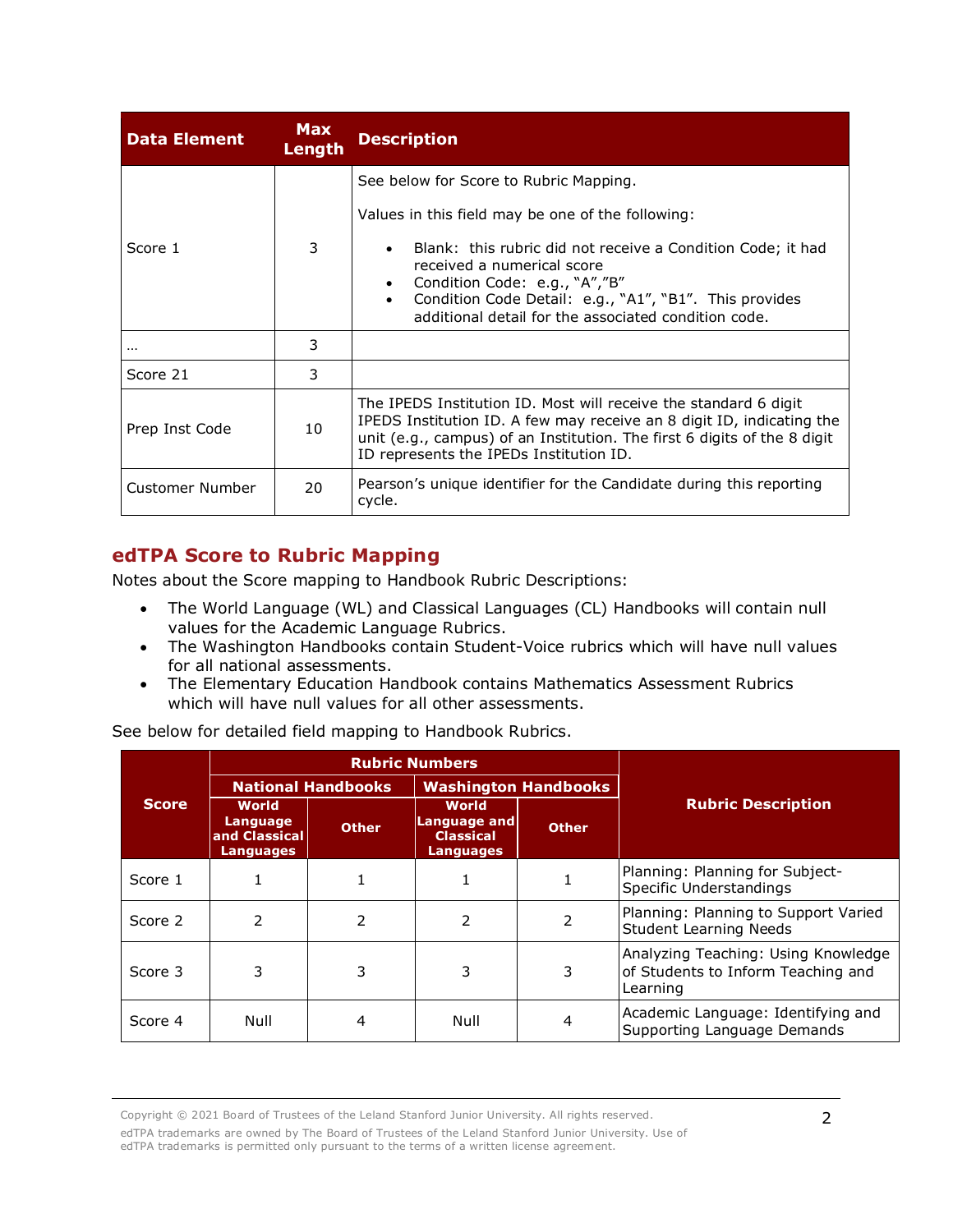| <b>Data Element</b> | <b>Max</b><br>Length | <b>Description</b>                                                                                                                                                                                                                                               |
|---------------------|----------------------|------------------------------------------------------------------------------------------------------------------------------------------------------------------------------------------------------------------------------------------------------------------|
|                     |                      | See below for Score to Rubric Mapping.                                                                                                                                                                                                                           |
|                     |                      | Values in this field may be one of the following:                                                                                                                                                                                                                |
| Score 1             | 3                    | Blank: this rubric did not receive a Condition Code; it had<br>received a numerical score<br>Condition Code: e.g., "A","B"<br>Condition Code Detail: e.g., "A1", "B1". This provides<br>$\bullet$<br>additional detail for the associated condition code.        |
| $\cdots$            | 3                    |                                                                                                                                                                                                                                                                  |
| Score 21            | 3                    |                                                                                                                                                                                                                                                                  |
| Prep Inst Code      | 10                   | The IPEDS Institution ID. Most will receive the standard 6 digit<br>IPEDS Institution ID. A few may receive an 8 digit ID, indicating the<br>unit (e.g., campus) of an Institution. The first 6 digits of the 8 digit<br>ID represents the IPEDs Institution ID. |
| Customer Number     | 20                   | Pearson's unique identifier for the Candidate during this reporting<br>cycle.                                                                                                                                                                                    |

## **edTPA Score to Rubric Mapping**

Notes about the Score mapping to Handbook Rubric Descriptions:

- The World Language (WL) and Classical Languages (CL) Handbooks will contain null values for the Academic Language Rubrics.
- The Washington Handbooks contain Student-Voice rubrics which will have null values for all national assessments.
- The Elementary Education Handbook contains Mathematics Assessment Rubrics which will have null values for all other assessments.

See below for detailed field mapping to Handbook Rubrics.

|              |                                                               |              | <b>Rubric Numbers</b>                                                |              |                                                                                       |
|--------------|---------------------------------------------------------------|--------------|----------------------------------------------------------------------|--------------|---------------------------------------------------------------------------------------|
|              | <b>National Handbooks</b>                                     |              | <b>Washington Handbooks</b>                                          |              |                                                                                       |
| <b>Score</b> | <b>World</b><br>Language<br>and Classical<br><b>Languages</b> | <b>Other</b> | <b>World</b><br>Language and<br><b>Classical</b><br><b>Languages</b> | <b>Other</b> | <b>Rubric Description</b>                                                             |
| Score 1      |                                                               |              |                                                                      |              | Planning: Planning for Subject-<br>Specific Understandings                            |
| Score 2      | 2                                                             | 2            | $\mathcal{P}$                                                        |              | Planning: Planning to Support Varied<br><b>Student Learning Needs</b>                 |
| Score 3      | 3                                                             | 3            | 3                                                                    | 3            | Analyzing Teaching: Using Knowledge<br>of Students to Inform Teaching and<br>Learning |
| Score 4      | Null                                                          | 4            | Null                                                                 | 4            | Academic Language: Identifying and<br>Supporting Language Demands                     |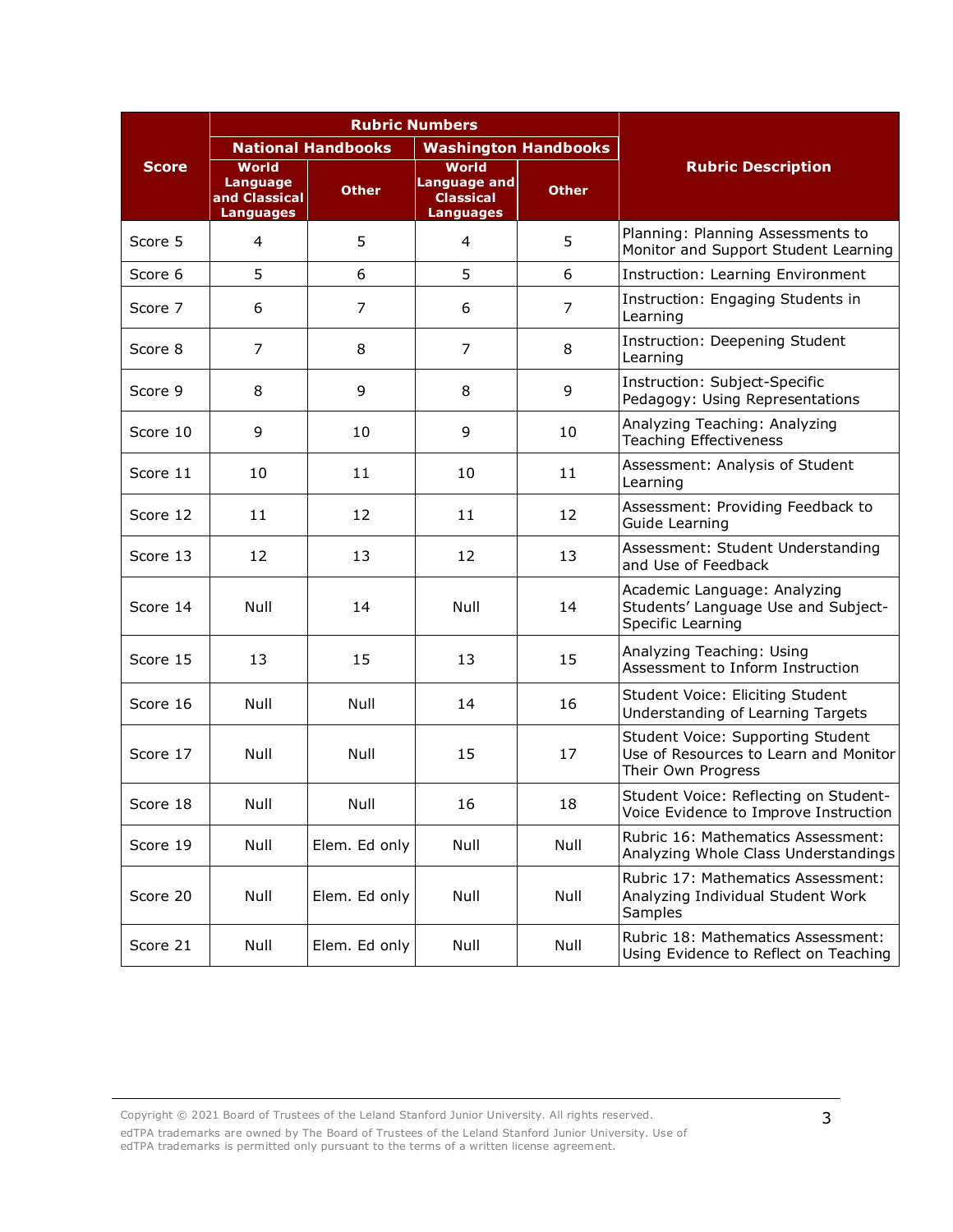|              |                                                                      | <b>Rubric Numbers</b> |                                                                             |              |                                                                                                  |
|--------------|----------------------------------------------------------------------|-----------------------|-----------------------------------------------------------------------------|--------------|--------------------------------------------------------------------------------------------------|
|              | <b>National Handbooks</b>                                            |                       | <b>Washington Handbooks</b>                                                 |              |                                                                                                  |
| <b>Score</b> | <b>World</b><br><b>Language</b><br>and Classical<br><b>Languages</b> | <b>Other</b>          | <b>World</b><br><b>Language and</b><br><b>Classical</b><br><b>Languages</b> | <b>Other</b> | <b>Rubric Description</b>                                                                        |
| Score 5      | 4                                                                    | 5                     | 4                                                                           | 5            | Planning: Planning Assessments to<br>Monitor and Support Student Learning                        |
| Score 6      | 5                                                                    | 6                     | 5                                                                           | 6            | Instruction: Learning Environment                                                                |
| Score 7      | 6                                                                    | 7                     | 6                                                                           | 7            | Instruction: Engaging Students in<br>Learning                                                    |
| Score 8      | $\overline{7}$                                                       | 8                     | $\overline{7}$                                                              | 8            | Instruction: Deepening Student<br>Learning                                                       |
| Score 9      | 8                                                                    | 9                     | 8                                                                           | 9            | Instruction: Subject-Specific<br>Pedagogy: Using Representations                                 |
| Score 10     | 9                                                                    | 10                    | 9                                                                           | 10           | Analyzing Teaching: Analyzing<br><b>Teaching Effectiveness</b>                                   |
| Score 11     | 10                                                                   | 11                    | 10                                                                          | 11           | Assessment: Analysis of Student<br>Learning                                                      |
| Score 12     | 11                                                                   | 12                    | 11                                                                          | 12           | Assessment: Providing Feedback to<br>Guide Learning                                              |
| Score 13     | 12                                                                   | 13                    | 12                                                                          | 13           | Assessment: Student Understanding<br>and Use of Feedback                                         |
| Score 14     | Null                                                                 | 14                    | Null                                                                        | 14           | Academic Language: Analyzing<br>Students' Language Use and Subject-<br>Specific Learning         |
| Score 15     | 13                                                                   | 15                    | 13                                                                          | 15           | Analyzing Teaching: Using<br>Assessment to Inform Instruction                                    |
| Score 16     | Null                                                                 | Null                  | 14                                                                          | 16           | Student Voice: Eliciting Student<br>Understanding of Learning Targets                            |
| Score 17     | Null                                                                 | Null                  | 15                                                                          | 17           | Student Voice: Supporting Student<br>Use of Resources to Learn and Monitor<br>Their Own Progress |
| Score 18     | Null                                                                 | Null                  | 16                                                                          | 18           | Student Voice: Reflecting on Student-<br>Voice Evidence to Improve Instruction                   |
| Score 19     | Null                                                                 | Elem. Ed only         | Null                                                                        | Null         | Rubric 16: Mathematics Assessment:<br>Analyzing Whole Class Understandings                       |
| Score 20     | Null                                                                 | Elem. Ed only         | Null                                                                        | Null         | Rubric 17: Mathematics Assessment:<br>Analyzing Individual Student Work<br>Samples               |
| Score 21     | Null                                                                 | Elem. Ed only         | Null                                                                        | Null         | Rubric 18: Mathematics Assessment:<br>Using Evidence to Reflect on Teaching                      |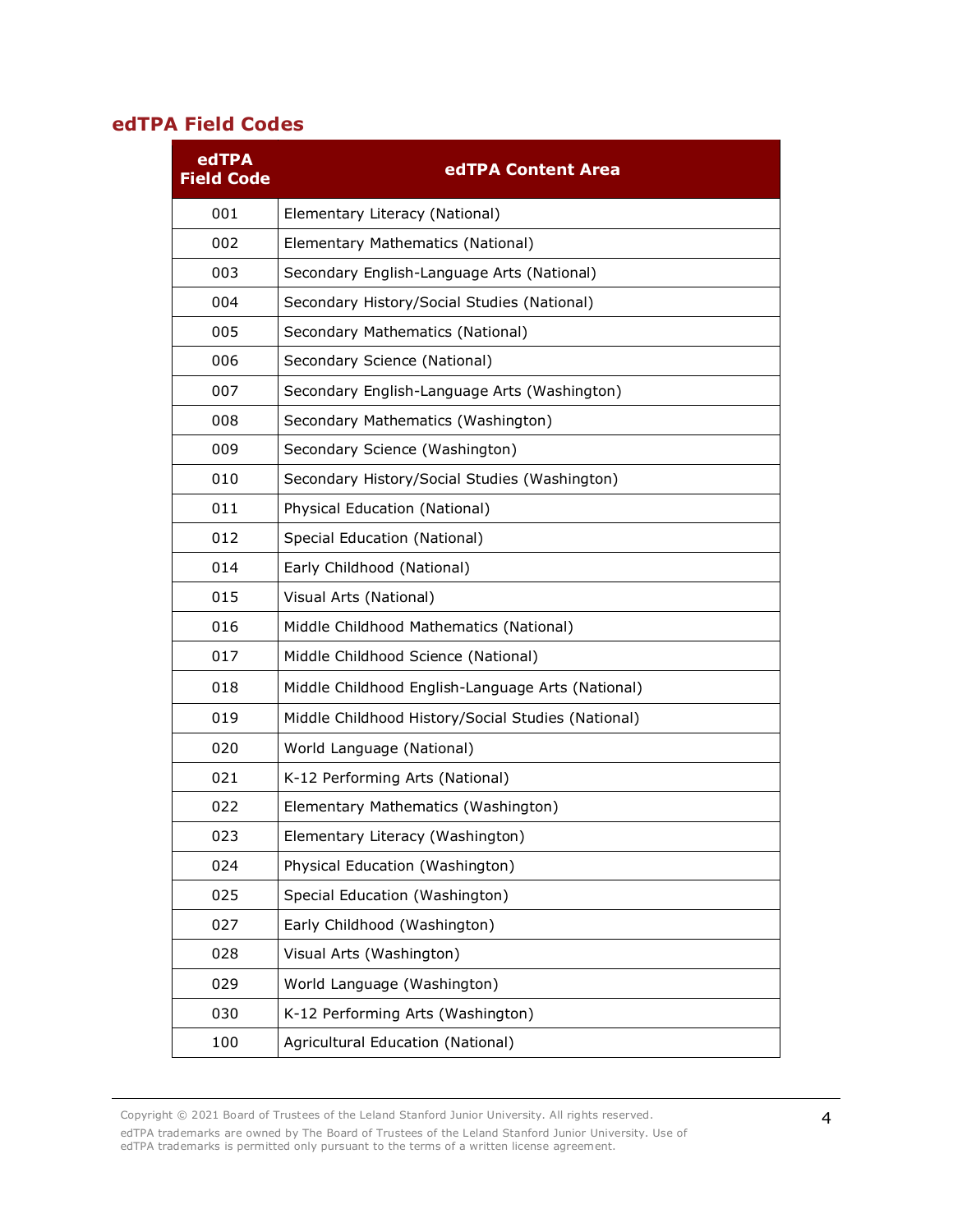## **edTPA Field Codes**

| edTPA<br><b>Field Code</b> | edTPA Content Area                                 |
|----------------------------|----------------------------------------------------|
| 001                        | Elementary Literacy (National)                     |
| 002                        | Elementary Mathematics (National)                  |
| 003                        | Secondary English-Language Arts (National)         |
| 004                        | Secondary History/Social Studies (National)        |
| 005                        | Secondary Mathematics (National)                   |
| 006                        | Secondary Science (National)                       |
| 007                        | Secondary English-Language Arts (Washington)       |
| 008                        | Secondary Mathematics (Washington)                 |
| 009                        | Secondary Science (Washington)                     |
| 010                        | Secondary History/Social Studies (Washington)      |
| 011                        | Physical Education (National)                      |
| 012                        | Special Education (National)                       |
| 014                        | Early Childhood (National)                         |
| 015                        | Visual Arts (National)                             |
| 016                        | Middle Childhood Mathematics (National)            |
| 017                        | Middle Childhood Science (National)                |
| 018                        | Middle Childhood English-Language Arts (National)  |
| 019                        | Middle Childhood History/Social Studies (National) |
| 020                        | World Language (National)                          |
| 021                        | K-12 Performing Arts (National)                    |
| 022                        | Elementary Mathematics (Washington)                |
| 023                        | Elementary Literacy (Washington)                   |
| 024                        | Physical Education (Washington)                    |
| 025                        | Special Education (Washington)                     |
| 027                        | Early Childhood (Washington)                       |
| 028                        | Visual Arts (Washington)                           |
| 029                        | World Language (Washington)                        |
| 030                        | K-12 Performing Arts (Washington)                  |
| 100                        | Agricultural Education (National)                  |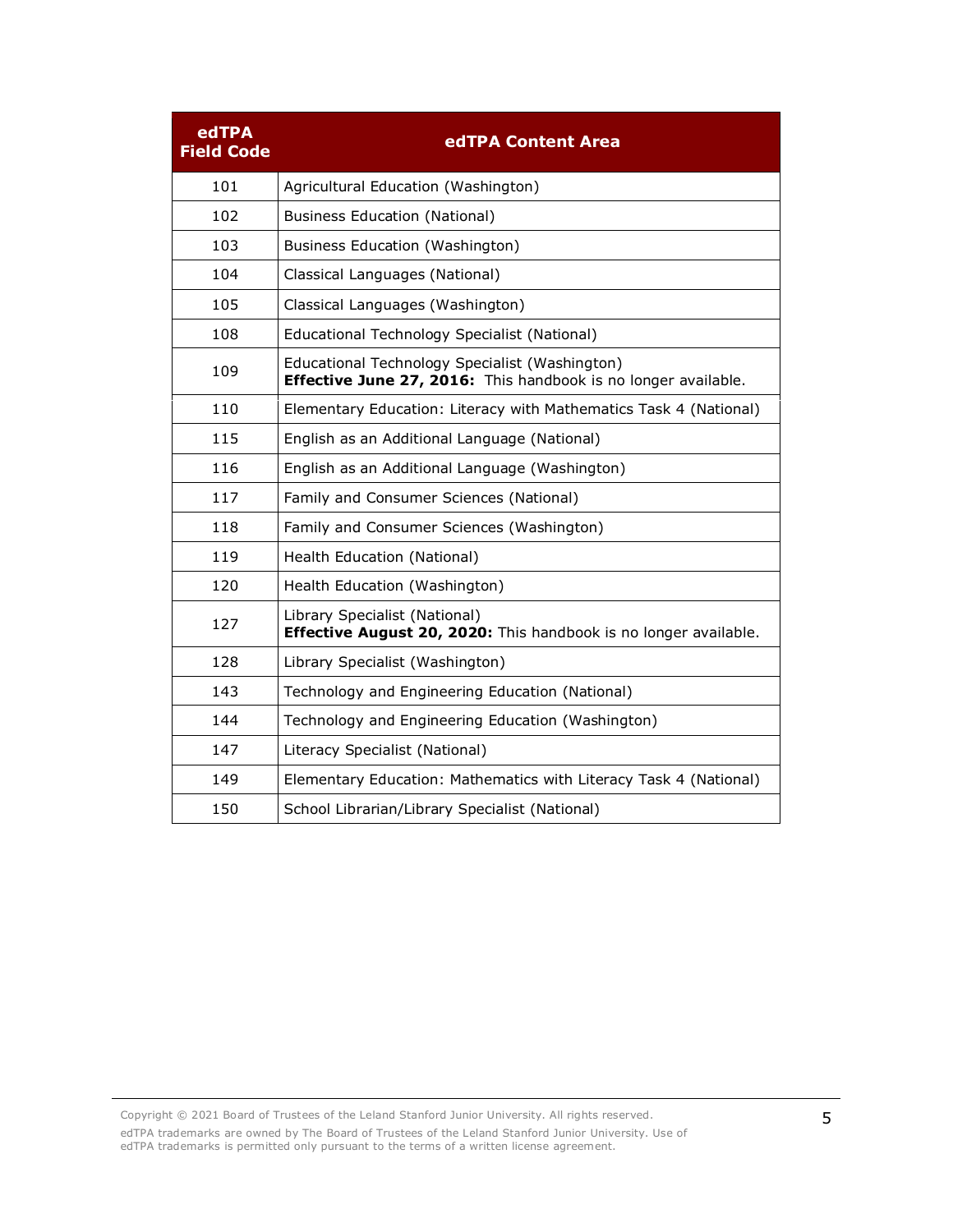| edTPA<br><b>Field Code</b> | edTPA Content Area                                                                                               |
|----------------------------|------------------------------------------------------------------------------------------------------------------|
| 101                        | Agricultural Education (Washington)                                                                              |
| 102                        | <b>Business Education (National)</b>                                                                             |
| 103                        | Business Education (Washington)                                                                                  |
| 104                        | Classical Languages (National)                                                                                   |
| 105                        | Classical Languages (Washington)                                                                                 |
| 108                        | Educational Technology Specialist (National)                                                                     |
| 109                        | Educational Technology Specialist (Washington)<br>Effective June 27, 2016: This handbook is no longer available. |
| 110                        | Elementary Education: Literacy with Mathematics Task 4 (National)                                                |
| 115                        | English as an Additional Language (National)                                                                     |
| 116                        | English as an Additional Language (Washington)                                                                   |
| 117                        | Family and Consumer Sciences (National)                                                                          |
| 118                        | Family and Consumer Sciences (Washington)                                                                        |
| 119                        | Health Education (National)                                                                                      |
| 120                        | Health Education (Washington)                                                                                    |
| 127                        | Library Specialist (National)<br>Effective August 20, 2020: This handbook is no longer available.                |
| 128                        | Library Specialist (Washington)                                                                                  |
| 143                        | Technology and Engineering Education (National)                                                                  |
| 144                        | Technology and Engineering Education (Washington)                                                                |
| 147                        | Literacy Specialist (National)                                                                                   |
| 149                        | Elementary Education: Mathematics with Literacy Task 4 (National)                                                |
| 150                        | School Librarian/Library Specialist (National)                                                                   |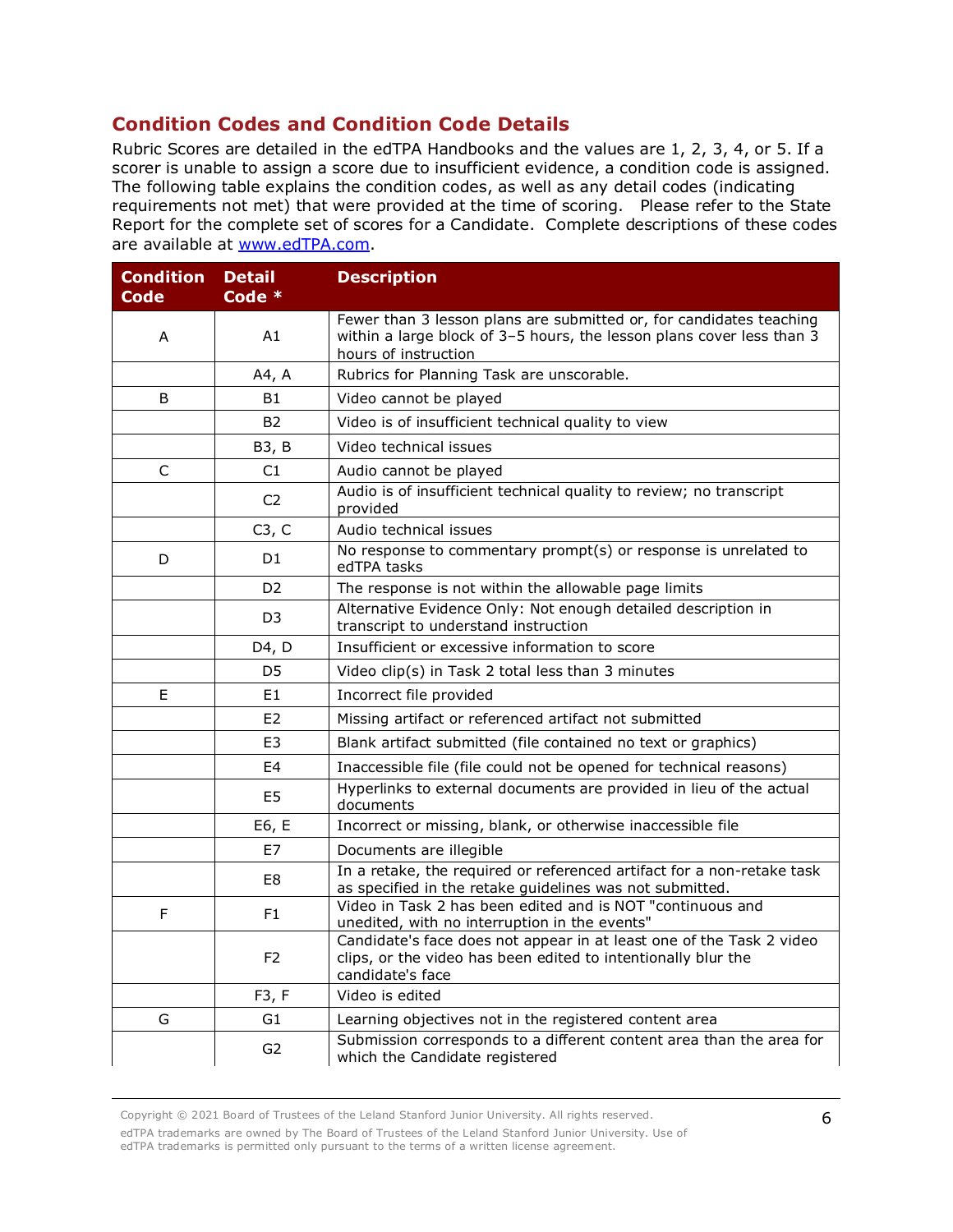## **Condition Codes and Condition Code Details**

Rubric Scores are detailed in the edTPA Handbooks and the values are 1, 2, 3, 4, or 5. If a scorer is unable to assign a score due to insufficient evidence, a condition code is assigned. The following table explains the condition codes, as well as any detail codes (indicating requirements not met) that were provided at the time of scoring. Please refer to the State Report for the complete set of scores for a Candidate. Complete descriptions of these codes are available at [www.edTPA.com.](http://www.edtpa.com/)

| <b>Condition</b><br>Code | <b>Detail</b><br>Code * | <b>Description</b>                                                                                                                                                   |
|--------------------------|-------------------------|----------------------------------------------------------------------------------------------------------------------------------------------------------------------|
| A                        | A1                      | Fewer than 3 lesson plans are submitted or, for candidates teaching<br>within a large block of 3-5 hours, the lesson plans cover less than 3<br>hours of instruction |
|                          | A4, A                   | Rubrics for Planning Task are unscorable.                                                                                                                            |
| B                        | <b>B1</b>               | Video cannot be played                                                                                                                                               |
|                          | <b>B2</b>               | Video is of insufficient technical quality to view                                                                                                                   |
|                          | B3, B                   | Video technical issues                                                                                                                                               |
| $\mathsf C$              | C1                      | Audio cannot be played                                                                                                                                               |
|                          | C <sub>2</sub>          | Audio is of insufficient technical quality to review; no transcript<br>provided                                                                                      |
|                          | C3, C                   | Audio technical issues                                                                                                                                               |
| D                        | D1                      | No response to commentary prompt(s) or response is unrelated to<br>edTPA tasks                                                                                       |
|                          | D <sub>2</sub>          | The response is not within the allowable page limits                                                                                                                 |
|                          | D <sub>3</sub>          | Alternative Evidence Only: Not enough detailed description in<br>transcript to understand instruction                                                                |
|                          | D4, D                   | Insufficient or excessive information to score                                                                                                                       |
|                          | D5                      | Video clip(s) in Task 2 total less than 3 minutes                                                                                                                    |
| E                        | E1                      | Incorrect file provided                                                                                                                                              |
|                          | E <sub>2</sub>          | Missing artifact or referenced artifact not submitted                                                                                                                |
|                          | E <sub>3</sub>          | Blank artifact submitted (file contained no text or graphics)                                                                                                        |
|                          | E4                      | Inaccessible file (file could not be opened for technical reasons)                                                                                                   |
|                          | E <sub>5</sub>          | Hyperlinks to external documents are provided in lieu of the actual<br>documents                                                                                     |
|                          | E6, E                   | Incorrect or missing, blank, or otherwise inaccessible file                                                                                                          |
|                          | E7                      | Documents are illegible                                                                                                                                              |
|                          | E8                      | In a retake, the required or referenced artifact for a non-retake task<br>as specified in the retake guidelines was not submitted.                                   |
| F                        | F <sub>1</sub>          | Video in Task 2 has been edited and is NOT "continuous and<br>unedited, with no interruption in the events"                                                          |
|                          | F <sub>2</sub>          | Candidate's face does not appear in at least one of the Task 2 video<br>clips, or the video has been edited to intentionally blur the<br>candidate's face            |
|                          | F3, F                   | Video is edited                                                                                                                                                      |
| G                        | G <sub>1</sub>          | Learning objectives not in the registered content area                                                                                                               |
|                          | G <sub>2</sub>          | Submission corresponds to a different content area than the area for<br>which the Candidate registered                                                               |